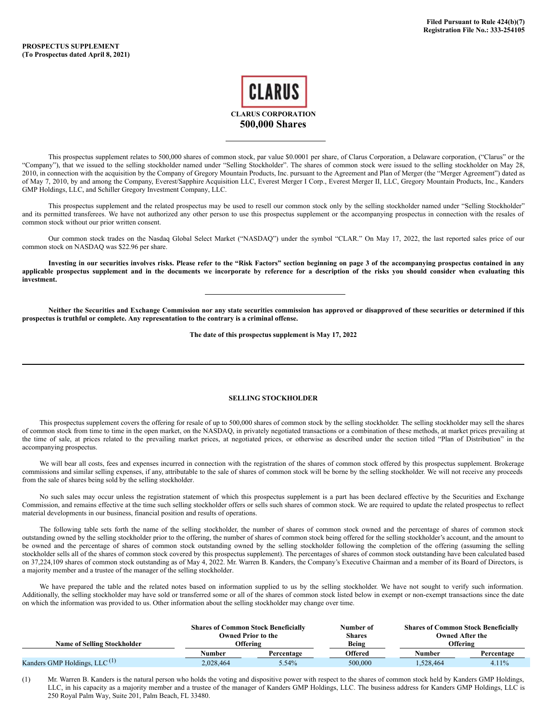

This prospectus supplement relates to 500,000 shares of common stock, par value \$0.0001 per share, of Clarus Corporation, a Delaware corporation, ("Clarus" or the "Company"), that we issued to the selling stockholder named under "Selling Stockholder". The shares of common stock were issued to the selling stockholder on May 28, 2010, in connection with the acquisition by the Company of Gregory Mountain Products, Inc. pursuant to the Agreement and Plan of Merger (the "Merger Agreement") dated as of May 7, 2010, by and among the Company, Everest/Sapphire Acquisition LLC, Everest Merger I Corp., Everest Merger II, LLC, Gregory Mountain Products, Inc., Kanders GMP Holdings, LLC, and Schiller Gregory Investment Company, LLC.

This prospectus supplement and the related prospectus may be used to resell our common stock only by the selling stockholder named under "Selling Stockholder" and its permitted transferees. We have not authorized any other person to use this prospectus supplement or the accompanying prospectus in connection with the resales of common stock without our prior written consent.

Our common stock trades on the Nasdaq Global Select Market ("NASDAQ") under the symbol "CLAR." On May 17, 2022, the last reported sales price of our common stock on NASDAQ was \$22.96 per share.

Investing in our securities involves risks. Please refer to the "Risk Factors" section beginning on page 3 of the accompanying prospectus contained in any applicable prospectus supplement and in the documents we incorporate by reference for a description of the risks you should consider when evaluating this **investment.**

Neither the Securities and Exchange Commission nor any state securities commission has approved or disapproved of these securities or determined if this **prospectus is truthful or complete. Any representation to the contrary is a criminal offense.**

**The date of this prospectus supplement is May 17, 2022**

#### **SELLING STOCKHOLDER**

This prospectus supplement covers the offering for resale of up to 500,000 shares of common stock by the selling stockholder. The selling stockholder may sell the shares of common stock from time to time in the open market, on the NASDAQ, in privately negotiated transactions or a combination of these methods, at market prices prevailing at the time of sale, at prices related to the prevailing market prices, at negotiated prices, or otherwise as described under the section titled "Plan of Distribution" in the accompanying prospectus.

We will bear all costs, fees and expenses incurred in connection with the registration of the shares of common stock offered by this prospectus supplement. Brokerage commissions and similar selling expenses, if any, attributable to the sale of shares of common stock will be borne by the selling stockholder. We will not receive any proceeds from the sale of shares being sold by the selling stockholder.

No such sales may occur unless the registration statement of which this prospectus supplement is a part has been declared effective by the Securities and Exchange Commission, and remains effective at the time such selling stockholder offers or sells such shares of common stock. We are required to update the related prospectus to reflect material developments in our business, financial position and results of operations.

The following table sets forth the name of the selling stockholder, the number of shares of common stock owned and the percentage of shares of common stock outstanding owned by the selling stockholder prior to the offering, the number of shares of common stock being offered for the selling stockholder's account, and the amount to be owned and the percentage of shares of common stock outstanding owned by the selling stockholder following the completion of the offering (assuming the selling stockholder sells all of the shares of common stock covered by this prospectus supplement). The percentages of shares of common stock outstanding have been calculated based on 37,224,109 shares of common stock outstanding as of May 4, 2022. Mr. Warren B. Kanders, the Company's Executive Chairman and a member of its Board of Directors, is a majority member and a trustee of the manager of the selling stockholder.

We have prepared the table and the related notes based on information supplied to us by the selling stockholder. We have not sought to verify such information. Additionally, the selling stockholder may have sold or transferred some or all of the shares of common stock listed below in exempt or non-exempt transactions since the date on which the information was provided to us. Other information about the selling stockholder may change over time.

| <b>Name of Selling Stockholder</b> |           | <b>Shares of Common Stock Beneficially</b><br><b>Owned Prior to the</b><br>Offering |                | <b>Shares of Common Stock Beneficially</b><br><b>Owned After the</b><br><b>Offering</b> |            |
|------------------------------------|-----------|-------------------------------------------------------------------------------------|----------------|-----------------------------------------------------------------------------------------|------------|
|                                    | Number    | Percentage                                                                          | <b>Offered</b> | Number                                                                                  | Percentage |
| Kanders GMP Holdings, LLC $(1)$    | 2.028.464 | 5.54%                                                                               | 500,000        | .528.464                                                                                | $4.11\%$   |

(1) Mr. Warren B. Kanders is the natural person who holds the voting and dispositive power with respect to the shares of common stock held by Kanders GMP Holdings, LLC, in his capacity as a majority member and a trustee of the manager of Kanders GMP Holdings, LLC. The business address for Kanders GMP Holdings, LLC is 250 Royal Palm Way, Suite 201, Palm Beach, FL 33480.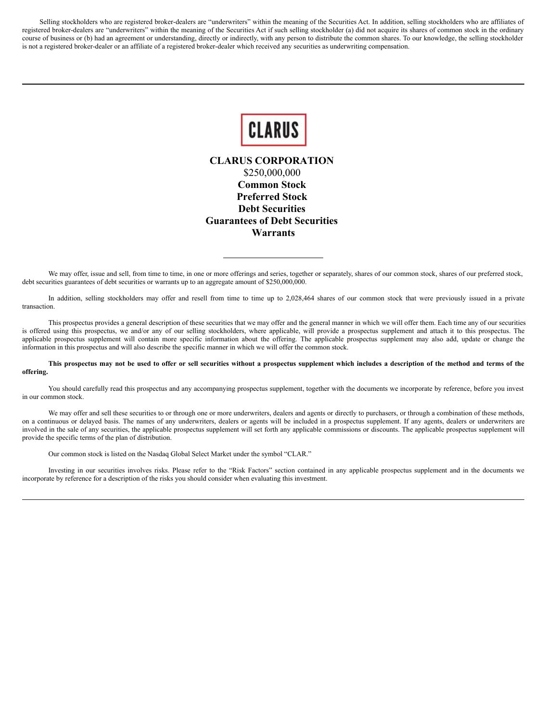Selling stockholders who are registered broker-dealers are "underwriters" within the meaning of the Securities Act. In addition, selling stockholders who are affiliates of registered broker-dealers are "underwriters" within the meaning of the Securities Act if such selling stockholder (a) did not acquire its shares of common stock in the ordinary course of business or (b) had an agreement or understanding, directly or indirectly, with any person to distribute the common shares. To our knowledge, the selling stockholder is not a registered broker-dealer or an affiliate of a registered broker-dealer which received any securities as underwriting compensation.



**CLARUS CORPORATION** \$250,000,000 **Common Stock Preferred Stock Debt Securities Guarantees of Debt Securities Warrants**

We may offer, issue and sell, from time to time, in one or more offerings and series, together or separately, shares of our common stock, shares of our preferred stock, debt securities guarantees of debt securities or warrants up to an aggregate amount of \$250,000,000.

In addition, selling stockholders may offer and resell from time to time up to 2,028,464 shares of our common stock that were previously issued in a private transaction.

This prospectus provides a general description of these securities that we may offer and the general manner in which we will offer them. Each time any of our securities is offered using this prospectus, we and/or any of our selling stockholders, where applicable, will provide a prospectus supplement and attach it to this prospectus. The applicable prospectus supplement will contain more specific information about the offering. The applicable prospectus supplement may also add, update or change the information in this prospectus and will also describe the specific manner in which we will offer the common stock.

# This prospectus may not be used to offer or sell securities without a prospectus supplement which includes a description of the method and terms of the **offering.**

You should carefully read this prospectus and any accompanying prospectus supplement, together with the documents we incorporate by reference, before you invest in our common stock.

We may offer and sell these securities to or through one or more underwriters, dealers and agents or directly to purchasers, or through a combination of these methods, on a continuous or delayed basis. The names of any underwriters, dealers or agents will be included in a prospectus supplement. If any agents, dealers or underwriters are involved in the sale of any securities, the applicable prospectus supplement will set forth any applicable commissions or discounts. The applicable prospectus supplement will provide the specific terms of the plan of distribution.

Our common stock is listed on the Nasdaq Global Select Market under the symbol "CLAR."

Investing in our securities involves risks. Please refer to the "Risk Factors" section contained in any applicable prospectus supplement and in the documents we incorporate by reference for a description of the risks you should consider when evaluating this investment.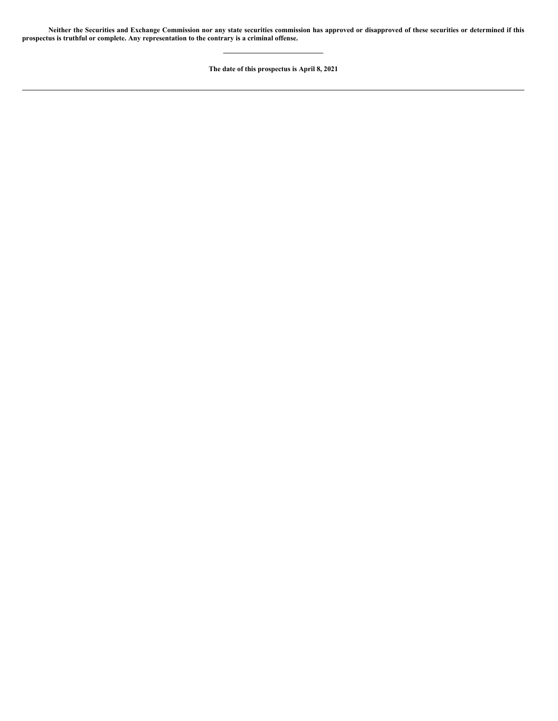Neither the Securities and Exchange Commission nor any state securities commission has approved or disapproved of these securities or determined if this **prospectus is truthful or complete. Any representation to the contrary is a criminal offense.**

**The date of this prospectus is April 8, 2021**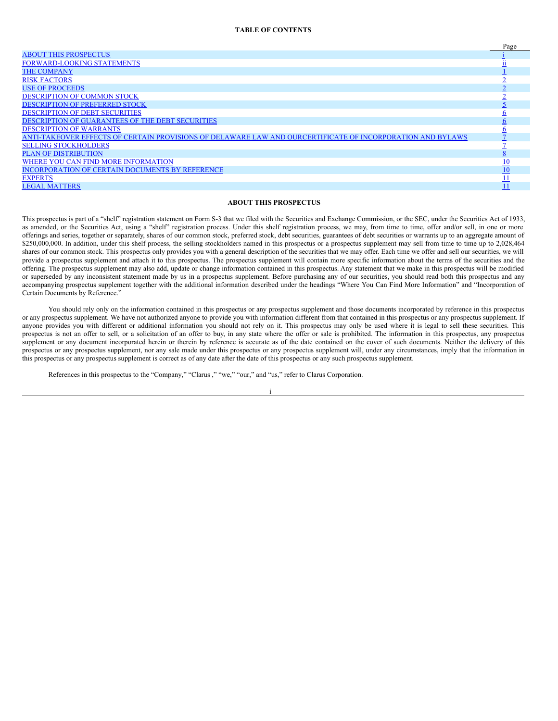#### **TABLE OF CONTENTS**

|                                                                                                            | Page |
|------------------------------------------------------------------------------------------------------------|------|
| <b>ABOUT THIS PROSPECTUS</b>                                                                               |      |
| <b>FORWARD-LOOKING STATEMENTS</b>                                                                          |      |
| <b>THE COMPANY</b>                                                                                         |      |
| <b>RISK FACTORS</b>                                                                                        |      |
| <b>USE OF PROCEEDS</b>                                                                                     |      |
| DESCRIPTION OF COMMON STOCK                                                                                |      |
| <b>DESCRIPTION OF PREFERRED STOCK</b>                                                                      |      |
| <b>DESCRIPTION OF DEBT SECURITIES</b>                                                                      |      |
| <b>DESCRIPTION OF GUARANTEES OF THE DEBT SECURITIES</b>                                                    |      |
| <b>DESCRIPTION OF WARRANTS</b>                                                                             |      |
| ANTI-TAKEOVER EFFECTS OF CERTAIN PROVISIONS OF DELAWARE LAW AND OURCERTIFICATE OF INCORPORATION AND BYLAWS |      |
| <b>SELLING STOCKHOLDERS</b>                                                                                |      |
| <b>PLAN OF DISTRIBUTION</b>                                                                                |      |
| WHERE YOU CAN FIND MORE INFORMATION                                                                        | 10   |
| INCORPORATION OF CERTAIN DOCUMENTS BY REFERENCE                                                            | 10   |
| <b>EXPERTS</b>                                                                                             |      |
| <b>LEGAL MATTERS</b>                                                                                       |      |

## <span id="page-3-0"></span>**ABOUT THIS PROSPECTUS**

This prospectus is part of a "shelf" registration statement on Form S-3 that we filed with the Securities and Exchange Commission, or the SEC, under the Securities Act of 1933, as amended, or the Securities Act, using a "shelf" registration process. Under this shelf registration process, we may, from time to time, offer and/or sell, in one or more offerings and series, together or separately, shares of our common stock, preferred stock, debt securities, guarantees of debt securities or warrants up to an aggregate amount of \$250,000,000. In addition, under this shelf process, the selling stockholders named in this prospectus or a prospectus supplement may sell from time to time up to 2,028,464 shares of our common stock. This prospectus only provides you with a general description of the securities that we may offer. Each time we offer and sell our securities, we will provide a prospectus supplement and attach it to this prospectus. The prospectus supplement will contain more specific information about the terms of the securities and the offering. The prospectus supplement may also add, update or change information contained in this prospectus. Any statement that we make in this prospectus will be modified or superseded by any inconsistent statement made by us in a prospectus supplement. Before purchasing any of our securities, you should read both this prospectus and any accompanying prospectus supplement together with the additional information described under the headings "Where You Can Find More Information" and "Incorporation of Certain Documents by Reference."

You should rely only on the information contained in this prospectus or any prospectus supplement and those documents incorporated by reference in this prospectus or any prospectus supplement. We have not authorized anyone to provide you with information different from that contained in this prospectus or any prospectus supplement. If anyone provides you with different or additional information you should not rely on it. This prospectus may only be used where it is legal to sell these securities. This prospectus is not an offer to sell, or a solicitation of an offer to buy, in any state where the offer or sale is prohibited. The information in this prospectus, any prospectus supplement or any document incorporated herein or therein by reference is accurate as of the date contained on the cover of such documents. Neither the delivery of this prospectus or any prospectus supplement, nor any sale made under this prospectus or any prospectus supplement will, under any circumstances, imply that the information in this prospectus or any prospectus supplement is correct as of any date after the date of this prospectus or any such prospectus supplement.

References in this prospectus to the "Company," "Clarus ," "we," "our," and "us," refer to Clarus Corporation.

#### i a s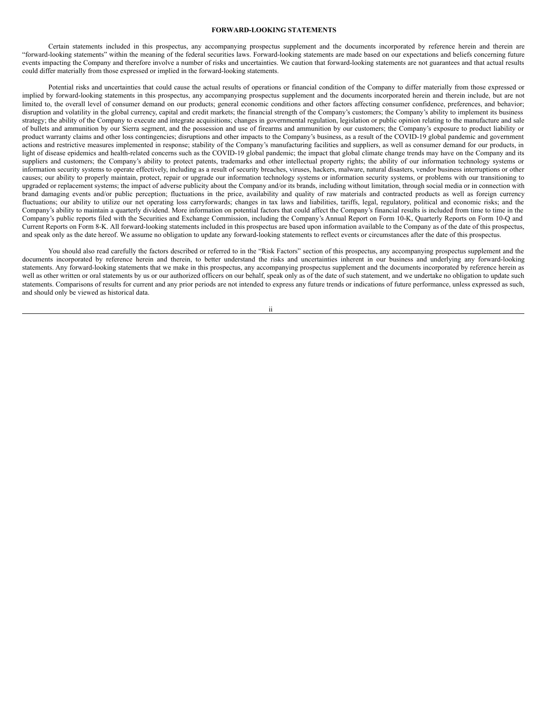### <span id="page-4-0"></span>**FORWARD-LOOKING STATEMENTS**

Certain statements included in this prospectus, any accompanying prospectus supplement and the documents incorporated by reference herein and therein are "forward-looking statements" within the meaning of the federal securities laws. Forward-looking statements are made based on our expectations and beliefs concerning future events impacting the Company and therefore involve a number of risks and uncertainties. We caution that forward-looking statements are not guarantees and that actual results could differ materially from those expressed or implied in the forward-looking statements.

Potential risks and uncertainties that could cause the actual results of operations or financial condition of the Company to differ materially from those expressed or implied by forward-looking statements in this prospectus, any accompanying prospectus supplement and the documents incorporated herein and therein include, but are not limited to, the overall level of consumer demand on our products; general economic conditions and other factors affecting consumer confidence, preferences, and behavior; disruption and volatility in the global currency, capital and credit markets; the financial strength of the Company's customers; the Company's ability to implement its business strategy; the ability of the Company to execute and integrate acquisitions; changes in governmental regulation, legislation or public opinion relating to the manufacture and sale of bullets and ammunition by our Sierra segment, and the possession and use of firearms and ammunition by our customers; the Company's exposure to product liability or product warranty claims and other loss contingencies; disruptions and other impacts to the Company's business, as a result of the COVID-19 global pandemic and government actions and restrictive measures implemented in response; stability of the Company's manufacturing facilities and suppliers, as well as consumer demand for our products, in light of disease epidemics and health-related concerns such as the COVID-19 global pandemic; the impact that global climate change trends may have on the Company and its suppliers and customers; the Company's ability to protect patents, trademarks and other intellectual property rights; the ability of our information technology systems or information security systems to operate effectively, including as a result of security breaches, viruses, hackers, malware, natural disasters, vendor business interruptions or other causes; our ability to properly maintain, protect, repair or upgrade our information technology systems or information security systems, or problems with our transitioning to upgraded or replacement systems; the impact of adverse publicity about the Company and/or its brands, including without limitation, through social media or in connection with brand damaging events and/or public perception; fluctuations in the price, availability and quality of raw materials and contracted products as well as foreign currency fluctuations; our ability to utilize our net operating loss carryforwards; changes in tax laws and liabilities, tariffs, legal, regulatory, political and economic risks; and the Company's ability to maintain a quarterly dividend. More information on potential factors that could affect the Company's financial results is included from time to time in the Company's public reports filed with the Securities and Exchange Commission, including the Company's Annual Report on Form 10-K, Quarterly Reports on Form 10-Q and Current Reports on Form 8-K. All forward-looking statements included in this prospectus are based upon information available to the Company as of the date of this prospectus, and speak only as the date hereof. We assume no obligation to update any forward-looking statements to reflect events or circumstances after the date of this prospectus.

You should also read carefully the factors described or referred to in the "Risk Factors" section of this prospectus, any accompanying prospectus supplement and the documents incorporated by reference herein and therein, to better understand the risks and uncertainties inherent in our business and underlying any forward-looking statements. Any forward-looking statements that we make in this prospectus, any accompanying prospectus supplement and the documents incorporated by reference herein as well as other written or oral statements by us or our authorized officers on our behalf, speak only as of the date of such statement, and we undertake no obligation to update such statements. Comparisons of results for current and any prior periods are not intended to express any future trends or indications of future performance, unless expressed as such, and should only be viewed as historical data.

ii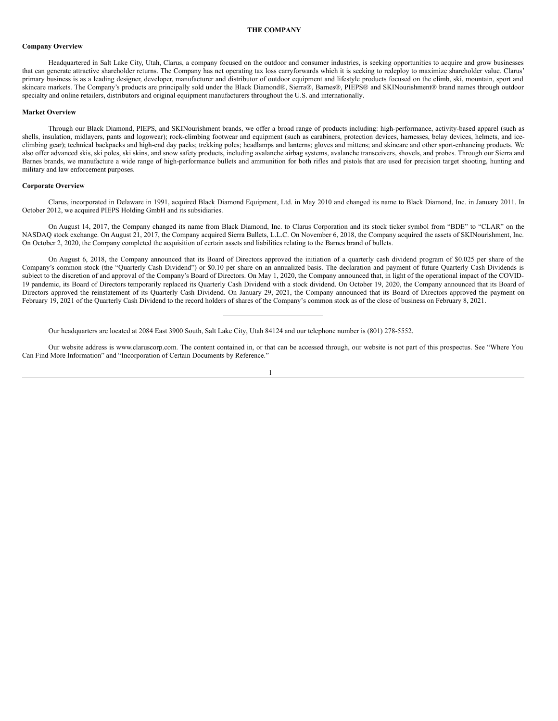#### <span id="page-5-0"></span>**Company Overview**

Headquartered in Salt Lake City, Utah, Clarus, a company focused on the outdoor and consumer industries, is seeking opportunities to acquire and grow businesses that can generate attractive shareholder returns. The Company has net operating tax loss carryforwards which it is seeking to redeploy to maximize shareholder value. Clarus' primary business is as a leading designer, developer, manufacturer and distributor of outdoor equipment and lifestyle products focused on the climb, ski, mountain, sport and skincare markets. The Company's products are principally sold under the Black Diamond®, Sierra®, Barnes®, PIEPS® and SKINourishment® brand names through outdoor specialty and online retailers, distributors and original equipment manufacturers throughout the U.S. and internationally.

#### **Market Overview**

Through our Black Diamond, PIEPS, and SKINourishment brands, we offer a broad range of products including: high-performance, activity-based apparel (such as shells, insulation, midlayers, pants and logowear); rock-climbing footwear and equipment (such as carabiners, protection devices, harnesses, belay devices, helmets, and iceclimbing gear); technical backpacks and high-end day packs; trekking poles; headlamps and lanterns; gloves and mittens; and skincare and other sport-enhancing products. We also offer advanced skis, ski poles, ski skins, and snow safety products, including avalanche airbag systems, avalanche transceivers, shovels, and probes. Through our Sierra and Barnes brands, we manufacture a wide range of high-performance bullets and ammunition for both rifles and pistols that are used for precision target shooting, hunting and military and law enforcement purposes.

# **Corporate Overview**

Clarus, incorporated in Delaware in 1991, acquired Black Diamond Equipment, Ltd. in May 2010 and changed its name to Black Diamond, Inc. in January 2011. In October 2012, we acquired PIEPS Holding GmbH and its subsidiaries.

On August 14, 2017, the Company changed its name from Black Diamond, Inc. to Clarus Corporation and its stock ticker symbol from "BDE" to "CLAR" on the NASDAQ stock exchange. On August 21, 2017, the Company acquired Sierra Bullets, L.L.C. On November 6, 2018, the Company acquired the assets of SKINourishment, Inc. On October 2, 2020, the Company completed the acquisition of certain assets and liabilities relating to the Barnes brand of bullets.

On August 6, 2018, the Company announced that its Board of Directors approved the initiation of a quarterly cash dividend program of \$0.025 per share of the Company's common stock (the "Quarterly Cash Dividend") or \$0.10 per share on an annualized basis. The declaration and payment of future Quarterly Cash Dividends is subject to the discretion of and approval of the Company's Board of Directors. On May 1, 2020, the Company announced that, in light of the operational impact of the COVID-19 pandemic, its Board of Directors temporarily replaced its Quarterly Cash Dividend with a stock dividend. On October 19, 2020, the Company announced that its Board of Directors approved the reinstatement of its Quarterly Cash Dividend. On January 29, 2021, the Company announced that its Board of Directors approved the payment on February 19, 2021 of the Quarterly Cash Dividend to the record holders of shares of the Company's common stock as of the close of business on February 8, 2021.

Our headquarters are located at 2084 East 3900 South, Salt Lake City, Utah 84124 and our telephone number is (801) 278-5552.

Our website address is www.claruscorp.com. The content contained in, or that can be accessed through, our website is not part of this prospectus. See "Where You Can Find More Information" and "Incorporation of Certain Documents by Reference."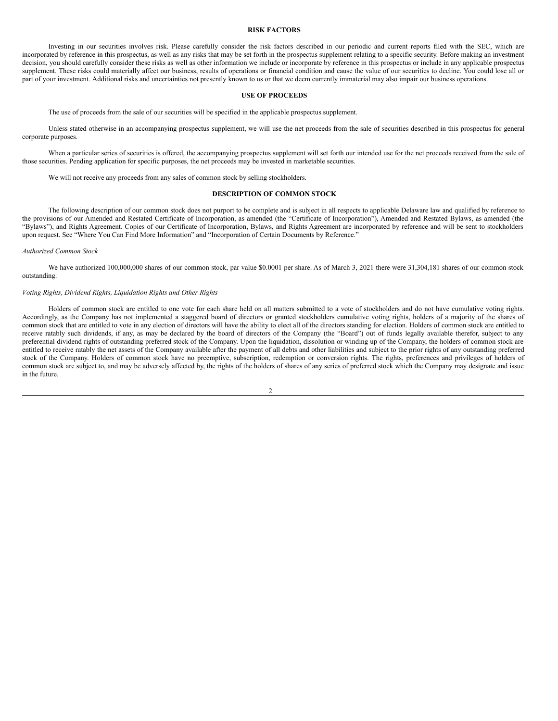### <span id="page-6-0"></span>**RISK FACTORS**

Investing in our securities involves risk. Please carefully consider the risk factors described in our periodic and current reports filed with the SEC, which are incorporated by reference in this prospectus, as well as any risks that may be set forth in the prospectus supplement relating to a specific security. Before making an investment decision, you should carefully consider these risks as well as other information we include or incorporate by reference in this prospectus or include in any applicable prospectus supplement. These risks could materially affect our business, results of operations or financial condition and cause the value of our securities to decline. You could lose all or part of your investment. Additional risks and uncertainties not presently known to us or that we deem currently immaterial may also impair our business operations.

### <span id="page-6-1"></span>**USE OF PROCEEDS**

The use of proceeds from the sale of our securities will be specified in the applicable prospectus supplement.

Unless stated otherwise in an accompanying prospectus supplement, we will use the net proceeds from the sale of securities described in this prospectus for general corporate purposes.

When a particular series of securities is offered, the accompanying prospectus supplement will set forth our intended use for the net proceeds received from the sale of those securities. Pending application for specific purposes, the net proceeds may be invested in marketable securities.

We will not receive any proceeds from any sales of common stock by selling stockholders.

### <span id="page-6-2"></span>**DESCRIPTION OF COMMON STOCK**

The following description of our common stock does not purport to be complete and is subject in all respects to applicable Delaware law and qualified by reference to the provisions of our Amended and Restated Certificate of Incorporation, as amended (the "Certificate of Incorporation"), Amended and Restated Bylaws, as amended (the "Bylaws"), and Rights Agreement. Copies of our Certificate of Incorporation, Bylaws, and Rights Agreement are incorporated by reference and will be sent to stockholders upon request. See "Where You Can Find More Information" and "Incorporation of Certain Documents by Reference."

#### *Authorized Common Stock*

We have authorized 100,000,000 shares of our common stock, par value \$0.0001 per share. As of March 3, 2021 there were 31,304,181 shares of our common stock outstanding.

#### *Voting Rights, Dividend Rights, Liquidation Rights and Other Rights*

Holders of common stock are entitled to one vote for each share held on all matters submitted to a vote of stockholders and do not have cumulative voting rights. Accordingly, as the Company has not implemented a staggered board of directors or granted stockholders cumulative voting rights, holders of a majority of the shares of common stock that are entitled to vote in any election of directors will have the ability to elect all of the directors standing for election. Holders of common stock are entitled to receive ratably such dividends, if any, as may be declared by the board of directors of the Company (the "Board") out of funds legally available therefor, subject to any preferential dividend rights of outstanding preferred stock of the Company. Upon the liquidation, dissolution or winding up of the Company, the holders of common stock are entitled to receive ratably the net assets of the Company available after the payment of all debts and other liabilities and subject to the prior rights of any outstanding preferred stock of the Company. Holders of common stock have no preemptive, subscription, redemption or conversion rights. The rights, preferences and privileges of holders of common stock are subject to, and may be adversely affected by, the rights of the holders of shares of any series of preferred stock which the Company may designate and issue in the future.

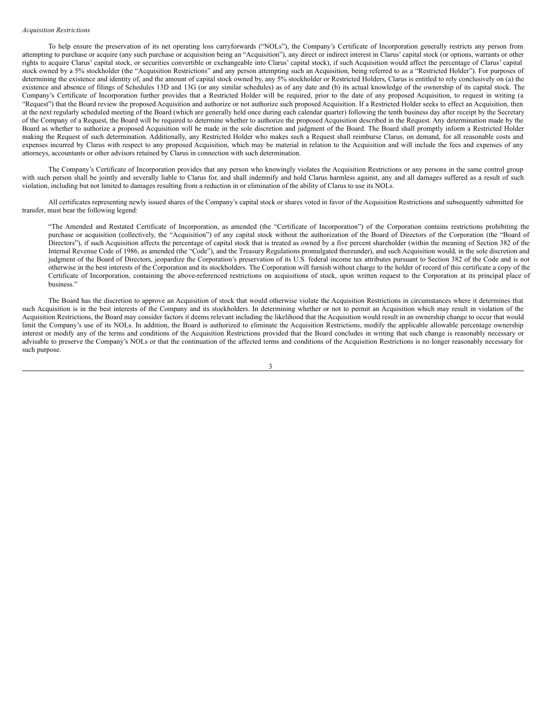#### *Acquisition Restrictions*

To help ensure the preservation of its net operating loss carryforwards ("NOLs"), the Company's Certificate of Incorporation generally restricts any person from attempting to purchase or acquire (any such purchase or acquisition being an "Acquisition"), any direct or indirect interest in Clarus' capital stock (or options, warrants or other rights to acquire Clarus' capital stock, or securities convertible or exchangeable into Clarus' capital stock), if such Acquisition would affect the percentage of Clarus' capital stock owned by a 5% stockholder (the "Acquisition Restrictions" and any person attempting such an Acquisition, being referred to as a "Restricted Holder"). For purposes of determining the existence and identity of, and the amount of capital stock owned by, any 5% stockholder or Restricted Holders, Clarus is entitled to rely conclusively on (a) the existence and absence of filings of Schedules 13D and 13G (or any similar schedules) as of any date and (b) its actual knowledge of the ownership of its capital stock. The Company's Certificate of Incorporation further provides that a Restricted Holder will be required, prior to the date of any proposed Acquisition, to request in writing (a "Request") that the Board review the proposed Acquisition and authorize or not authorize such proposed Acquisition. If a Restricted Holder seeks to effect an Acquisition, then at the next regularly scheduled meeting of the Board (which are generally held once during each calendar quarter) following the tenth business day after receipt by the Secretary of the Company of a Request, the Board will be required to determine whether to authorize the proposed Acquisition described in the Request. Any determination made by the Board as whether to authorize a proposed Acquisition will be made in the sole discretion and judgment of the Board. The Board shall promptly inform a Restricted Holder making the Request of such determination. Additionally, any Restricted Holder who makes such a Request shall reimburse Clarus, on demand, for all reasonable costs and expenses incurred by Clarus with respect to any proposed Acquisition, which may be material in relation to the Acquisition and will include the fees and expenses of any attorneys, accountants or other advisors retained by Clarus in connection with such determination.

The Company's Certificate of Incorporation provides that any person who knowingly violates the Acquisition Restrictions or any persons in the same control group with such person shall be jointly and severally liable to Clarus for, and shall indemnify and hold Clarus harmless against, any and all damages suffered as a result of such violation, including but not limited to damages resulting from a reduction in or elimination of the ability of Clarus to use its NOLs.

All certificates representing newly issued shares of the Company's capital stock or shares voted in favor of the Acquisition Restrictions and subsequently submitted for transfer, must bear the following legend:

"The Amended and Restated Certificate of Incorporation, as amended (the "Certificate of Incorporation") of the Corporation contains restrictions prohibiting the purchase or acquisition (collectively, the "Acquisition") of any capital stock without the authorization of the Board of Directors of the Corporation (the "Board of Directors"), if such Acquisition affects the percentage of capital stock that is treated as owned by a five percent shareholder (within the meaning of Section 382 of the Internal Revenue Code of 1986, as amended (the "Code"), and the Treasury Regulations promulgated thereunder), and such Acquisition would, in the sole discretion and judgment of the Board of Directors, jeopardize the Corporation's preservation of its U.S. federal income tax attributes pursuant to Section 382 of the Code and is not otherwise in the best interests of the Corporation and its stockholders. The Corporation will furnish without charge to the holder of record of this certificate a copy of the Certificate of Incorporation, containing the above-referenced restrictions on acquisitions of stock, upon written request to the Corporation at its principal place of business."

The Board has the discretion to approve an Acquisition of stock that would otherwise violate the Acquisition Restrictions in circumstances where it determines that such Acquisition is in the best interests of the Company and its stockholders. In determining whether or not to permit an Acquisition which may result in violation of the Acquisition Restrictions, the Board may consider factors it deems relevant including the likelihood that the Acquisition would result in an ownership change to occur that would limit the Company's use of its NOLs. In addition, the Board is authorized to eliminate the Acquisition Restrictions, modify the applicable allowable percentage ownership interest or modify any of the terms and conditions of the Acquisition Restrictions provided that the Board concludes in writing that such change is reasonably necessary or advisable to preserve the Company's NOLs or that the continuation of the affected terms and conditions of the Acquisition Restrictions is no longer reasonably necessary for such purpose.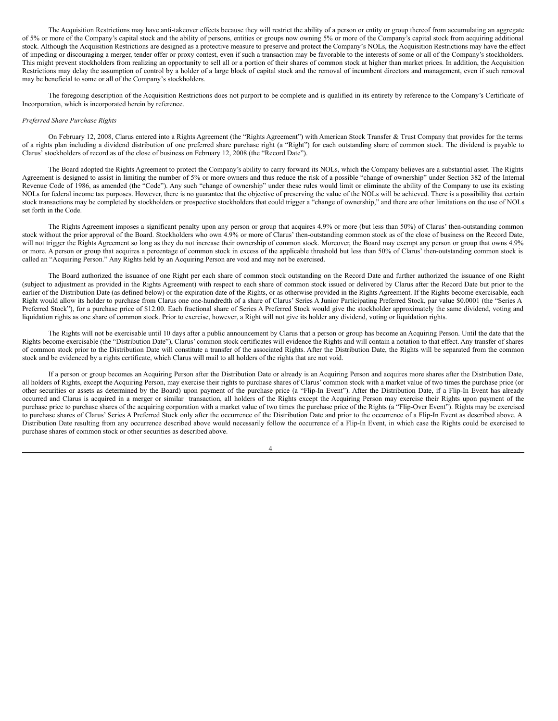The Acquisition Restrictions may have anti-takeover effects because they will restrict the ability of a person or entity or group thereof from accumulating an aggregate of 5% or more of the Company's capital stock and the ability of persons, entities or groups now owning 5% or more of the Company's capital stock from acquiring additional stock. Although the Acquisition Restrictions are designed as a protective measure to preserve and protect the Company's NOLs, the Acquisition Restrictions may have the effect of impeding or discouraging a merger, tender offer or proxy contest, even if such a transaction may be favorable to the interests of some or all of the Company's stockholders. This might prevent stockholders from realizing an opportunity to sell all or a portion of their shares of common stock at higher than market prices. In addition, the Acquisition Restrictions may delay the assumption of control by a holder of a large block of capital stock and the removal of incumbent directors and management, even if such removal may be beneficial to some or all of the Company's stockholders.

The foregoing description of the Acquisition Restrictions does not purport to be complete and is qualified in its entirety by reference to the Company's Certificate of Incorporation, which is incorporated herein by reference.

### *Preferred Share Purchase Rights*

On February 12, 2008, Clarus entered into a Rights Agreement (the "Rights Agreement") with American Stock Transfer & Trust Company that provides for the terms of a rights plan including a dividend distribution of one preferred share purchase right (a "Right") for each outstanding share of common stock. The dividend is payable to Clarus' stockholders of record as of the close of business on February 12, 2008 (the "Record Date").

The Board adopted the Rights Agreement to protect the Company's ability to carry forward its NOLs, which the Company believes are a substantial asset. The Rights Agreement is designed to assist in limiting the number of 5% or more owners and thus reduce the risk of a possible "change of ownership" under Section 382 of the Internal Revenue Code of 1986, as amended (the "Code"). Any such "change of ownership" under these rules would limit or eliminate the ability of the Company to use its existing NOLs for federal income tax purposes. However, there is no guarantee that the objective of preserving the value of the NOLs will be achieved. There is a possibility that certain stock transactions may be completed by stockholders or prospective stockholders that could trigger a "change of ownership," and there are other limitations on the use of NOLs set forth in the Code.

The Rights Agreement imposes a significant penalty upon any person or group that acquires 4.9% or more (but less than 50%) of Clarus' then-outstanding common stock without the prior approval of the Board. Stockholders who own 4.9% or more of Clarus' then-outstanding common stock as of the close of business on the Record Date, will not trigger the Rights Agreement so long as they do not increase their ownership of common stock. Moreover, the Board may exempt any person or group that owns 4.9% or more. A person or group that acquires a percentage of common stock in excess of the applicable threshold but less than 50% of Clarus' then-outstanding common stock is called an "Acquiring Person." Any Rights held by an Acquiring Person are void and may not be exercised.

The Board authorized the issuance of one Right per each share of common stock outstanding on the Record Date and further authorized the issuance of one Right (subject to adjustment as provided in the Rights Agreement) with respect to each share of common stock issued or delivered by Clarus after the Record Date but prior to the earlier of the Distribution Date (as defined below) or the expiration date of the Rights, or as otherwise provided in the Rights Agreement. If the Rights become exercisable, each Right would allow its holder to purchase from Clarus one one-hundredth of a share of Clarus' Series A Junior Participating Preferred Stock, par value \$0.0001 (the "Series A Preferred Stock"), for a purchase price of \$12.00. Each fractional share of Series A Preferred Stock would give the stockholder approximately the same dividend, voting and liquidation rights as one share of common stock. Prior to exercise, however, a Right will not give its holder any dividend, voting or liquidation rights.

The Rights will not be exercisable until 10 days after a public announcement by Clarus that a person or group has become an Acquiring Person. Until the date that the Rights become exercisable (the "Distribution Date"), Clarus' common stock certificates will evidence the Rights and will contain a notation to that effect. Any transfer of shares of common stock prior to the Distribution Date will constitute a transfer of the associated Rights. After the Distribution Date, the Rights will be separated from the common stock and be evidenced by a rights certificate, which Clarus will mail to all holders of the rights that are not void.

If a person or group becomes an Acquiring Person after the Distribution Date or already is an Acquiring Person and acquires more shares after the Distribution Date, all holders of Rights, except the Acquiring Person, may exercise their rights to purchase shares of Clarus' common stock with a market value of two times the purchase price (or other securities or assets as determined by the Board) upon payment of the purchase price (a "Flip-In Event"). After the Distribution Date, if a Flip-In Event has already occurred and Clarus is acquired in a merger or similar transaction, all holders of the Rights except the Acquiring Person may exercise their Rights upon payment of the purchase price to purchase shares of the acquiring corporation with a market value of two times the purchase price of the Rights (a "Flip-Over Event"). Rights may be exercised to purchase shares of Clarus' Series A Preferred Stock only after the occurrence of the Distribution Date and prior to the occurrence of a Flip-In Event as described above. A Distribution Date resulting from any occurrence described above would necessarily follow the occurrence of a Flip-In Event, in which case the Rights could be exercised to purchase shares of common stock or other securities as described above.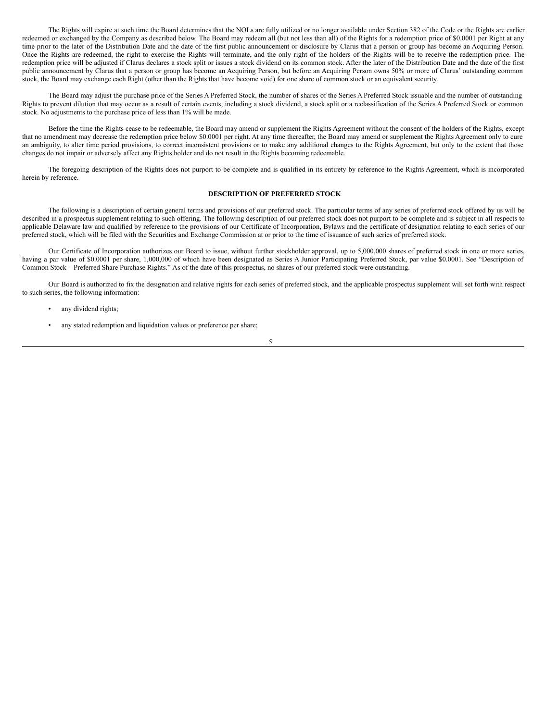The Rights will expire at such time the Board determines that the NOLs are fully utilized or no longer available under Section 382 of the Code or the Rights are earlier redeemed or exchanged by the Company as described below. The Board may redeem all (but not less than all) of the Rights for a redemption price of \$0.0001 per Right at any time prior to the later of the Distribution Date and the date of the first public announcement or disclosure by Clarus that a person or group has become an Acquiring Person. Once the Rights are redeemed, the right to exercise the Rights will terminate, and the only right of the holders of the Rights will be to receive the redemption price. The redemption price will be adjusted if Clarus declares a stock split or issues a stock dividend on its common stock. After the later of the Distribution Date and the date of the first public announcement by Clarus that a person or group has become an Acquiring Person, but before an Acquiring Person owns 50% or more of Clarus' outstanding common stock, the Board may exchange each Right (other than the Rights that have become void) for one share of common stock or an equivalent security.

The Board may adjust the purchase price of the Series A Preferred Stock, the number of shares of the Series A Preferred Stock issuable and the number of outstanding Rights to prevent dilution that may occur as a result of certain events, including a stock dividend, a stock split or a reclassification of the Series A Preferred Stock or common stock. No adjustments to the purchase price of less than 1% will be made.

Before the time the Rights cease to be redeemable, the Board may amend or supplement the Rights Agreement without the consent of the holders of the Rights, except that no amendment may decrease the redemption price below \$0.0001 per right. At any time thereafter, the Board may amend or supplement the Rights Agreement only to cure an ambiguity, to alter time period provisions, to correct inconsistent provisions or to make any additional changes to the Rights Agreement, but only to the extent that those changes do not impair or adversely affect any Rights holder and do not result in the Rights becoming redeemable.

The foregoing description of the Rights does not purport to be complete and is qualified in its entirety by reference to the Rights Agreement, which is incorporated herein by reference.

### <span id="page-9-0"></span>**DESCRIPTION OF PREFERRED STOCK**

The following is a description of certain general terms and provisions of our preferred stock. The particular terms of any series of preferred stock offered by us will be described in a prospectus supplement relating to such offering. The following description of our preferred stock does not purport to be complete and is subject in all respects to applicable Delaware law and qualified by reference to the provisions of our Certificate of Incorporation, Bylaws and the certificate of designation relating to each series of our preferred stock, which will be filed with the Securities and Exchange Commission at or prior to the time of issuance of such series of preferred stock.

Our Certificate of Incorporation authorizes our Board to issue, without further stockholder approval, up to 5,000,000 shares of preferred stock in one or more series, having a par value of \$0.0001 per share, 1,000,000 of which have been designated as Series A Junior Participating Preferred Stock, par value \$0.0001. See "Description of Common Stock – Preferred Share Purchase Rights." As of the date of this prospectus, no shares of our preferred stock were outstanding.

Our Board is authorized to fix the designation and relative rights for each series of preferred stock, and the applicable prospectus supplement will set forth with respect to such series, the following information:

- any dividend rights;
- any stated redemption and liquidation values or preference per share;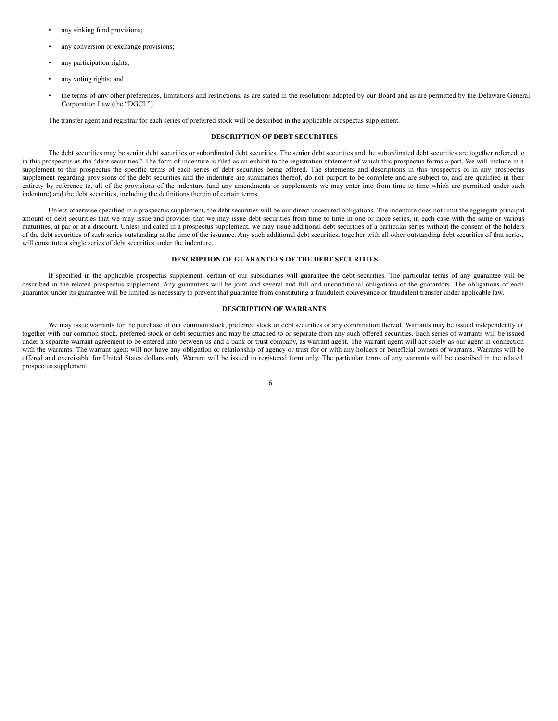- any sinking fund provisions;
- any conversion or exchange provisions;
- any participation rights;
- any voting rights; and
- the terms of any other preferences, limitations and restrictions, as are stated in the resolutions adopted by our Board and as are permitted by the Delaware General Corporation Law (the "DGCL").

The transfer agent and registrar for each series of preferred stock will be described in the applicable prospectus supplement.

### <span id="page-10-0"></span>**DESCRIPTION OF DEBT SECURITIES**

The debt securities may be senior debt securities or subordinated debt securities. The senior debt securities and the subordinated debt securities are together referred to in this prospectus as the "debt securities." The form of indenture is filed as an exhibit to the registration statement of which this prospectus forms a part. We will include in a supplement to this prospectus the specific terms of each series of debt securities being offered. The statements and descriptions in this prospectus or in any prospectus supplement regarding provisions of the debt securities and the indenture are summaries thereof, do not purport to be complete and are subject to, and are qualified in their entirety by reference to, all of the provisions of the indenture (and any amendments or supplements we may enter into from time to time which are permitted under such indenture) and the debt securities, including the definitions therein of certain terms.

Unless otherwise specified in a prospectus supplement, the debt securities will be our direct unsecured obligations. The indenture does not limit the aggregate principal amount of debt securities that we may issue and provides that we may issue debt securities from time to time in one or more series, in each case with the same or various maturities, at par or at a discount. Unless indicated in a prospectus supplement, we may issue additional debt securities of a particular series without the consent of the holders of the debt securities of such series outstanding at the time of the issuance. Any such additional debt securities, together with all other outstanding debt securities of that series, will constitute a single series of debt securities under the indenture.

# <span id="page-10-1"></span>**DESCRIPTION OF GUARANTEES OF THE DEBT SECURITIES**

If specified in the applicable prospectus supplement, certain of our subsidiaries will guarantee the debt securities. The particular terms of any guarantee will be described in the related prospectus supplement. Any guarantees will be joint and several and full and unconditional obligations of the guarantors. The obligations of each guarantor under its guarantee will be limited as necessary to prevent that guarantee from constituting a fraudulent conveyance or fraudulent transfer under applicable law.

### <span id="page-10-2"></span>**DESCRIPTION OF WARRANTS**

We may issue warrants for the purchase of our common stock, preferred stock or debt securities or any combination thereof. Warrants may be issued independently or together with our common stock, preferred stock or debt securities and may be attached to or separate from any such offered securities. Each series of warrants will be issued under a separate warrant agreement to be entered into between us and a bank or trust company, as warrant agent. The warrant agent will act solely as our agent in connection with the warrants. The warrant agent will not have any obligation or relationship of agency or trust for or with any holders or beneficial owners of warrants. Warrants will be offered and exercisable for United States dollars only. Warrant will be issued in registered form only. The particular terms of any warrants will be described in the related prospectus supplement.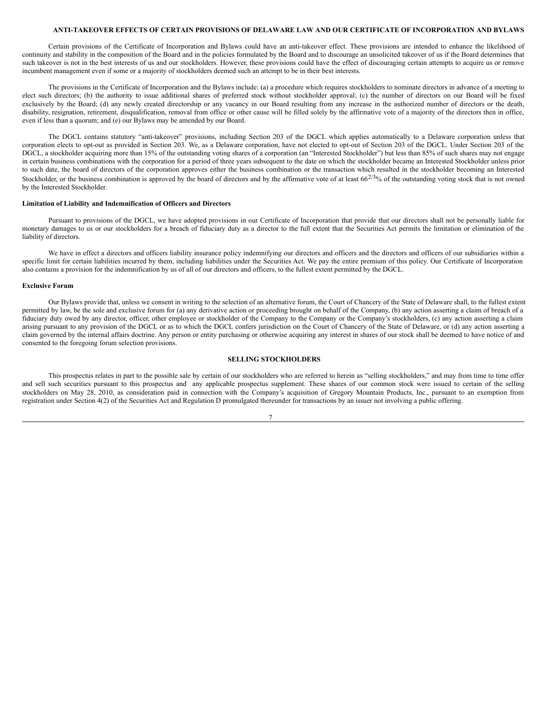# <span id="page-11-0"></span>**ANTI-TAKEOVER EFFECTS OF CERTAIN PROVISIONS OF DELAWARE LAW AND OUR CERTIFICATE OF INCORPORATION AND BYLAWS**

Certain provisions of the Certificate of Incorporation and Bylaws could have an anti-takeover effect. These provisions are intended to enhance the likelihood of continuity and stability in the composition of the Board and in the policies formulated by the Board and to discourage an unsolicited takeover of us if the Board determines that such takeover is not in the best interests of us and our stockholders. However, these provisions could have the effect of discouraging certain attempts to acquire us or remove incumbent management even if some or a majority of stockholders deemed such an attempt to be in their best interests.

The provisions in the Certificate of Incorporation and the Bylaws include: (a) a procedure which requires stockholders to nominate directors in advance of a meeting to elect such directors; (b) the authority to issue additional shares of preferred stock without stockholder approval; (c) the number of directors on our Board will be fixed exclusively by the Board; (d) any newly created directorship or any vacancy in our Board resulting from any increase in the authorized number of directors or the death, disability, resignation, retirement, disqualification, removal from office or other cause will be filled solely by the affirmative vote of a majority of the directors then in office, even if less than a quorum; and (e) our Bylaws may be amended by our Board.

The DGCL contains statutory "anti-takeover" provisions, including Section 203 of the DGCL which applies automatically to a Delaware corporation unless that corporation elects to opt-out as provided in Section 203. We, as a Delaware corporation, have not elected to opt-out of Section 203 of the DGCL. Under Section 203 of the DGCL, a stockholder acquiring more than 15% of the outstanding voting shares of a corporation (an "Interested Stockholder") but less than 85% of such shares may not engage in certain business combinations with the corporation for a period of three years subsequent to the date on which the stockholder became an Interested Stockholder unless prior to such date, the board of directors of the corporation approves either the business combination or the transaction which resulted in the stockholder becoming an Interested Stockholder, or the business combination is approved by the board of directors and by the affirmative vote of at least  $66^{2/3}$ % of the outstanding voting stock that is not owned by the Interested Stockholder.

### **Limitation of Liability and Indemnification of Officers and Directors**

Pursuant to provisions of the DGCL, we have adopted provisions in our Certificate of Incorporation that provide that our directors shall not be personally liable for monetary damages to us or our stockholders for a breach of fiduciary duty as a director to the full extent that the Securities Act permits the limitation or elimination of the liability of directors.

We have in effect a directors and officers liability insurance policy indemnifying our directors and officers and the directors and officers of our subsidiaries within a specific limit for certain liabilities incurred by them, including liabilities under the Securities Act. We pay the entire premium of this policy. Our Certificate of Incorporation also contains a provision for the indemnification by us of all of our directors and officers, to the fullest extent permitted by the DGCL.

### **Exclusive Forum**

Our Bylaws provide that, unless we consent in writing to the selection of an alternative forum, the Court of Chancery of the State of Delaware shall, to the fullest extent permitted by law, be the sole and exclusive forum for (a) any derivative action or proceeding brought on behalf of the Company, (b) any action asserting a claim of breach of a fiduciary duty owed by any director, officer, other employee or stockholder of the Company to the Company or the Company's stockholders, (c) any action asserting a claim arising pursuant to any provision of the DGCL or as to which the DGCL confers jurisdiction on the Court of Chancery of the State of Delaware, or (d) any action asserting a claim governed by the internal affairs doctrine. Any person or entity purchasing or otherwise acquiring any interest in shares of our stock shall be deemed to have notice of and consented to the foregoing forum selection provisions.

# <span id="page-11-1"></span>**SELLING STOCKHOLDERS**

This prospectus relates in part to the possible sale by certain of our stockholders who are referred to herein as "selling stockholders," and may from time to time offer and sell such securities pursuant to this prospectus and any applicable prospectus supplement. These shares of our common stock were issued to certain of the selling stockholders on May 28, 2010, as consideration paid in connection with the Company's acquisition of Gregory Mountain Products, Inc., pursuant to an exemption from registration under Section 4(2) of the Securities Act and Regulation D promulgated thereunder for transactions by an issuer not involving a public offering.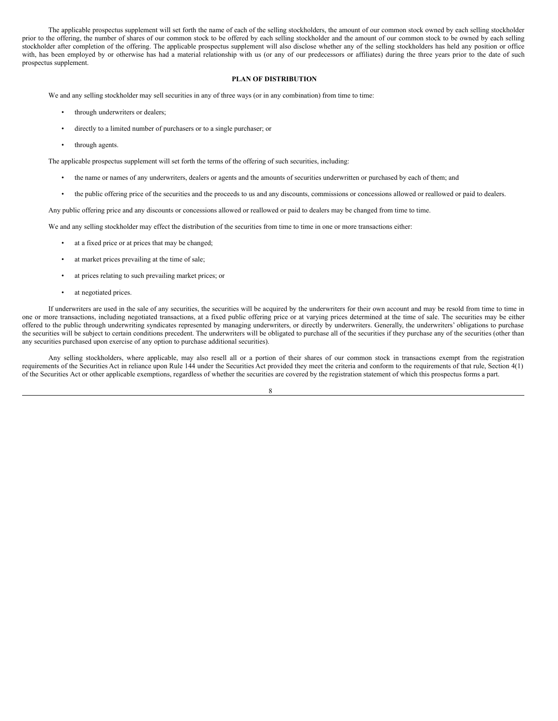The applicable prospectus supplement will set forth the name of each of the selling stockholders, the amount of our common stock owned by each selling stockholder prior to the offering, the number of shares of our common stock to be offered by each selling stockholder and the amount of our common stock to be owned by each selling stockholder after completion of the offering. The applicable prospectus supplement will also disclose whether any of the selling stockholders has held any position or office with, has been employed by or otherwise has had a material relationship with us (or any of our predecessors or affiliates) during the three years prior to the date of such prospectus supplement.

# <span id="page-12-0"></span>**PLAN OF DISTRIBUTION**

We and any selling stockholder may sell securities in any of three ways (or in any combination) from time to time:

- through underwriters or dealers;
- directly to a limited number of purchasers or to a single purchaser; or
- through agents.

The applicable prospectus supplement will set forth the terms of the offering of such securities, including:

- the name or names of any underwriters, dealers or agents and the amounts of securities underwritten or purchased by each of them; and
- the public offering price of the securities and the proceeds to us and any discounts, commissions or concessions allowed or reallowed or paid to dealers.

Any public offering price and any discounts or concessions allowed or reallowed or paid to dealers may be changed from time to time.

We and any selling stockholder may effect the distribution of the securities from time to time in one or more transactions either:

- at a fixed price or at prices that may be changed;
- at market prices prevailing at the time of sale;
- at prices relating to such prevailing market prices; or
- at negotiated prices.

If underwriters are used in the sale of any securities, the securities will be acquired by the underwriters for their own account and may be resold from time to time in one or more transactions, including negotiated transactions, at a fixed public offering price or at varying prices determined at the time of sale. The securities may be either offered to the public through underwriting syndicates represented by managing underwriters, or directly by underwriters. Generally, the underwriters' obligations to purchase the securities will be subject to certain conditions precedent. The underwriters will be obligated to purchase all of the securities if they purchase any of the securities (other than any securities purchased upon exercise of any option to purchase additional securities).

Any selling stockholders, where applicable, may also resell all or a portion of their shares of our common stock in transactions exempt from the registration requirements of the Securities Act in reliance upon Rule 144 under the Securities Act provided they meet the criteria and conform to the requirements of that rule, Section 4(1) of the Securities Act or other applicable exemptions, regardless of whether the securities are covered by the registration statement of which this prospectus forms a part.

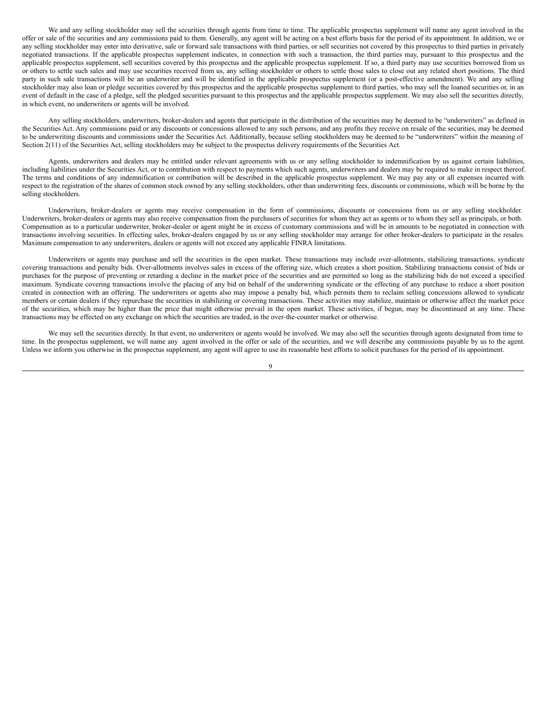We and any selling stockholder may sell the securities through agents from time to time. The applicable prospectus supplement will name any agent involved in the offer or sale of the securities and any commissions paid to them. Generally, any agent will be acting on a best efforts basis for the period of its appointment. In addition, we or any selling stockholder may enter into derivative, sale or forward sale transactions with third parties, or sell securities not covered by this prospectus to third parties in privately negotiated transactions. If the applicable prospectus supplement indicates, in connection with such a transaction, the third parties may, pursuant to this prospectus and the applicable prospectus supplement, sell securities covered by this prospectus and the applicable prospectus supplement. If so, a third party may use securities borrowed from us or others to settle such sales and may use securities received from us, any selling stockholder or others to settle those sales to close out any related short positions. The third party in such sale transactions will be an underwriter and will be identified in the applicable prospectus supplement (or a post-effective amendment). We and any selling stockholder may also loan or pledge securities covered by this prospectus and the applicable prospectus supplement to third parties, who may sell the loaned securities or, in an event of default in the case of a pledge, sell the pledged securities pursuant to this prospectus and the applicable prospectus supplement. We may also sell the securities directly, in which event, no underwriters or agents will be involved.

Any selling stockholders, underwriters, broker-dealers and agents that participate in the distribution of the securities may be deemed to be "underwriters" as defined in the Securities Act. Any commissions paid or any discounts or concessions allowed to any such persons, and any profits they receive on resale of the securities, may be deemed to be underwriting discounts and commissions under the Securities Act. Additionally, because selling stockholders may be deemed to be "underwriters" within the meaning of Section 2(11) of the Securities Act, selling stockholders may be subject to the prospectus delivery requirements of the Securities Act.

Agents, underwriters and dealers may be entitled under relevant agreements with us or any selling stockholder to indemnification by us against certain liabilities, including liabilities under the Securities Act, or to contribution with respect to payments which such agents, underwriters and dealers may be required to make in respect thereof. The terms and conditions of any indemnification or contribution will be described in the applicable prospectus supplement. We may pay any or all expenses incurred with respect to the registration of the shares of common stock owned by any selling stockholders, other than underwriting fees, discounts or commissions, which will be borne by the selling stockholders.

Underwriters, broker-dealers or agents may receive compensation in the form of commissions, discounts or concessions from us or any selling stockholder. Underwriters, broker-dealers or agents may also receive compensation from the purchasers of securities for whom they act as agents or to whom they sell as principals, or both. Compensation as to a particular underwriter, broker-dealer or agent might be in excess of customary commissions and will be in amounts to be negotiated in connection with transactions involving securities. In effecting sales, broker-dealers engaged by us or any selling stockholder may arrange for other broker-dealers to participate in the resales. Maximum compensation to any underwriters, dealers or agents will not exceed any applicable FINRA limitations.

Underwriters or agents may purchase and sell the securities in the open market. These transactions may include over-allotments, stabilizing transactions, syndicate covering transactions and penalty bids. Over-allotments involves sales in excess of the offering size, which creates a short position. Stabilizing transactions consist of bids or purchases for the purpose of preventing or retarding a decline in the market price of the securities and are permitted so long as the stabilizing bids do not exceed a specified maximum. Syndicate covering transactions involve the placing of any bid on behalf of the underwriting syndicate or the effecting of any purchase to reduce a short position created in connection with an offering. The underwriters or agents also may impose a penalty bid, which permits them to reclaim selling concessions allowed to syndicate members or certain dealers if they repurchase the securities in stabilizing or covering transactions. These activities may stabilize, maintain or otherwise affect the market price of the securities, which may be higher than the price that might otherwise prevail in the open market. These activities, if begun, may be discontinued at any time. These transactions may be effected on any exchange on which the securities are traded, in the over-the-counter market or otherwise.

We may sell the securities directly. In that event, no underwriters or agents would be involved. We may also sell the securities through agents designated from time to time. In the prospectus supplement, we will name any agent involved in the offer or sale of the securities, and we will describe any commissions payable by us to the agent. Unless we inform you otherwise in the prospectus supplement, any agent will agree to use its reasonable best efforts to solicit purchases for the period of its appointment.

 $\overline{Q}$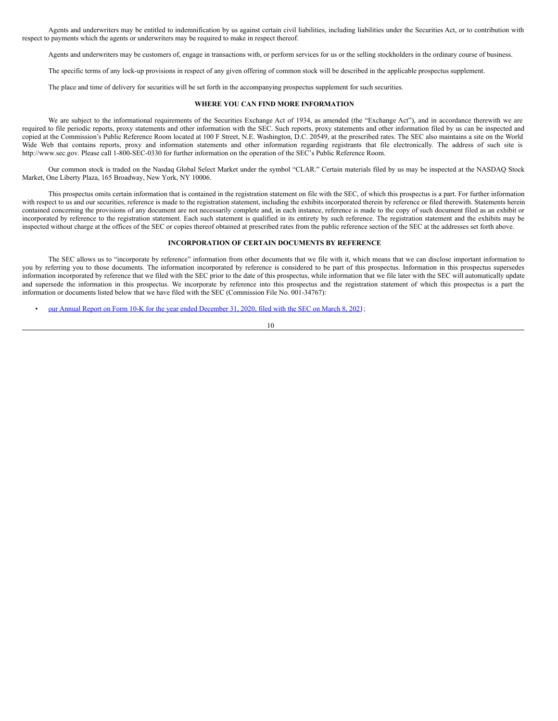Agents and underwriters may be entitled to indemnification by us against certain civil liabilities, including liabilities under the Securities Act, or to contribution with respect to payments which the agents or underwriters may be required to make in respect thereof.

Agents and underwriters may be customers of, engage in transactions with, or perform services for us or the selling stockholders in the ordinary course of business.

The specific terms of any lock-up provisions in respect of any given offering of common stock will be described in the applicable prospectus supplement.

The place and time of delivery for securities will be set forth in the accompanying prospectus supplement for such securities.

# <span id="page-14-0"></span>**WHERE YOU CAN FIND MORE INFORMATION**

We are subject to the informational requirements of the Securities Exchange Act of 1934, as amended (the "Exchange Act"), and in accordance therewith we are required to file periodic reports, proxy statements and other information with the SEC. Such reports, proxy statements and other information filed by us can be inspected and copied at the Commission's Public Reference Room located at 100 F Street, N.E. Washington, D.C. 20549, at the prescribed rates. The SEC also maintains a site on the World Wide Web that contains reports, proxy and information statements and other information regarding registrants that file electronically. The address of such site is http://www.sec.gov. Please call 1-800-SEC-0330 for further information on the operation of the SEC's Public Reference Room.

Our common stock is traded on the Nasdaq Global Select Market under the symbol "CLAR." Certain materials filed by us may be inspected at the NASDAQ Stock Market, One Liberty Plaza, 165 Broadway, New York, NY 10006.

This prospectus omits certain information that is contained in the registration statement on file with the SEC, of which this prospectus is a part. For further information with respect to us and our securities, reference is made to the registration statement, including the exhibits incorporated therein by reference or filed therewith. Statements herein contained concerning the provisions of any document are not necessarily complete and, in each instance, reference is made to the copy of such document filed as an exhibit or incorporated by reference to the registration statement. Each such statement is qualified in its entirety by such reference. The registration statement and the exhibits may be inspected without charge at the offices of the SEC or copies thereof obtained at prescribed rates from the public reference section of the SEC at the addresses set forth above.

#### <span id="page-14-1"></span>**INCORPORATION OF CERTAIN DOCUMENTS BY REFERENCE**

The SEC allows us to "incorporate by reference" information from other documents that we file with it, which means that we can disclose important information to you by referring you to those documents. The information incorporated by reference is considered to be part of this prospectus. Information in this prospectus supersedes information incorporated by reference that we filed with the SEC prior to the date of this prospectus, while information that we file later with the SEC will automatically update and supersede the information in this prospectus. We incorporate by reference into this prospectus and the registration statement of which this prospectus is a part the information or documents listed below that we have filed with the SEC (Commission File No. 001-34767):

• our Annual Report on Form 10-K for the year ended [December](http://www.sec.gov/ix?doc=/Archives/edgar/data/913277/000110465921033312/clar-20201231x10k.htm) 31, 2020, filed with the SEC on March 8, 2021;